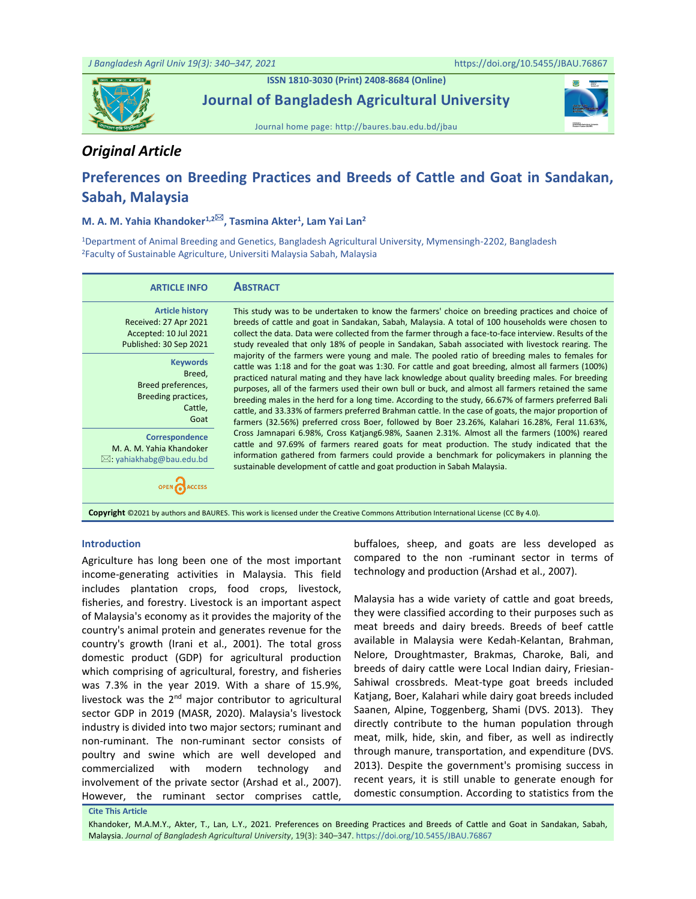

**ISSN 1810-3030 (Print) 2408-8684 (Online)**

**Journal of Bangladesh Agricultural University**





## *Original Article*

# **Preferences on Breeding Practices and Breeds of Cattle and Goat in Sandakan, Sabah, Malaysia**

### **M. A. M. Yahia Khandoker1,2, Tasmina Akter<sup>1</sup> , Lam Yai Lan<sup>2</sup>**

<sup>1</sup>Department of Animal Breeding and Genetics, Bangladesh Agricultural University, Mymensingh-2202, Bangladesh <sup>2</sup>Faculty of Sustainable Agriculture, Universiti Malaysia Sabah, Malaysia

| <b>ARTICLE INFO</b>                                                                                | <b>ABSTRACT</b>                                                                                                                                                                                                                                                                                                                                                                                                                                                                                                                                                                                                                                                                                                                   |
|----------------------------------------------------------------------------------------------------|-----------------------------------------------------------------------------------------------------------------------------------------------------------------------------------------------------------------------------------------------------------------------------------------------------------------------------------------------------------------------------------------------------------------------------------------------------------------------------------------------------------------------------------------------------------------------------------------------------------------------------------------------------------------------------------------------------------------------------------|
| <b>Article history</b><br>Received: 27 Apr 2021<br>Accepted: 10 Jul 2021<br>Published: 30 Sep 2021 | This study was to be undertaken to know the farmers' choice on breeding practices and choice of<br>breeds of cattle and goat in Sandakan, Sabah, Malaysia. A total of 100 households were chosen to<br>collect the data. Data were collected from the farmer through a face-to-face interview. Results of the<br>study revealed that only 18% of people in Sandakan, Sabah associated with livestock rearing. The                                                                                                                                                                                                                                                                                                                 |
| <b>Keywords</b><br>Breed,<br>Breed preferences,<br>Breeding practices,<br>Cattle,<br>Goat          | majority of the farmers were young and male. The pooled ratio of breeding males to females for<br>cattle was 1:18 and for the goat was 1:30. For cattle and goat breeding, almost all farmers (100%)<br>practiced natural mating and they have lack knowledge about quality breeding males. For breeding<br>purposes, all of the farmers used their own bull or buck, and almost all farmers retained the same<br>breeding males in the herd for a long time. According to the study, 66.67% of farmers preferred Bali<br>cattle, and 33.33% of farmers preferred Brahman cattle. In the case of goats, the major proportion of<br>farmers (32.56%) preferred cross Boer, followed by Boer 23.26%, Kalahari 16.28%, Feral 11.63%, |
| Correspondence<br>M. A. M. Yahia Khandoker<br>$\boxtimes$ : yahiakhabg@bau.edu.bd                  | Cross Jamnapari 6.98%, Cross Katjang6.98%, Saanen 2.31%. Almost all the farmers (100%) reared<br>cattle and 97.69% of farmers reared goats for meat production. The study indicated that the<br>information gathered from farmers could provide a benchmark for policymakers in planning the<br>sustainable development of cattle and goat production in Sabah Malaysia.                                                                                                                                                                                                                                                                                                                                                          |
|                                                                                                    | Copyright ©2021 by authors and BAURES. This work is licensed under the Creative Commons Attribution International License (CC By 4.0).                                                                                                                                                                                                                                                                                                                                                                                                                                                                                                                                                                                            |

#### **Introduction**

Agriculture has long been one of the most important income-generating activities in Malaysia. This field includes plantation crops, food crops, livestock, fisheries, and forestry. Livestock is an important aspect of Malaysia's economy as it provides the majority of the country's animal protein and generates revenue for the country's growth (Irani et al., 2001). The total gross domestic product (GDP) for agricultural production which comprising of agricultural, forestry, and fisheries was 7.3% in the year 2019. With a share of 15.9%, livestock was the 2<sup>nd</sup> major contributor to agricultural sector GDP in 2019 (MASR, 2020). Malaysia's livestock industry is divided into two major sectors; ruminant and non-ruminant. The non-ruminant sector consists of poultry and swine which are well developed and commercialized with modern technology and involvement of the private sector (Arshad et al., 2007). However, the ruminant sector comprises cattle,

buffaloes, sheep, and goats are less developed as compared to the non -ruminant sector in terms of technology and production (Arshad et al., 2007).

Malaysia has a wide variety of cattle and goat breeds, they were classified according to their purposes such as meat breeds and dairy breeds. Breeds of beef cattle available in Malaysia were Kedah-Kelantan, Brahman, Nelore, Droughtmaster, Brakmas, Charoke, Bali, and breeds of dairy cattle were Local Indian dairy, Friesian-Sahiwal crossbreds. Meat-type goat breeds included Katjang, Boer, Kalahari while dairy goat breeds included Saanen, Alpine, Toggenberg, Shami (DVS. 2013). They directly contribute to the human population through meat, milk, hide, skin, and fiber, as well as indirectly through manure, transportation, and expenditure (DVS. 2013). Despite the government's promising success in recent years, it is still unable to generate enough for domestic consumption. According to statistics from the

**Cite This Article**

Khandoker, M.A.M.Y., Akter, T., Lan, L.Y., 2021. Preferences on Breeding Practices and Breeds of Cattle and Goat in Sandakan, Sabah, Malaysia. *Journal of Bangladesh Agricultural University*, 19(3): 340–347[. https://doi.org/10.5455/JBAU.76867](https://doi.org/10.5455/JBAU.76867)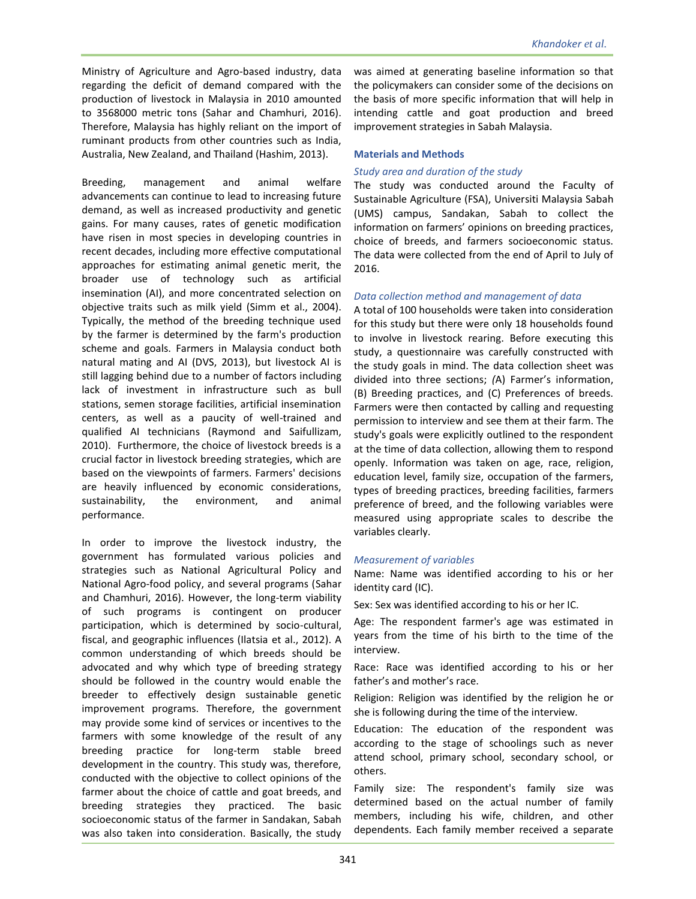Ministry of Agriculture and Agro-based industry, data regarding the deficit of demand compared with the production of livestock in Malaysia in 2010 amounted to 3568000 metric tons (Sahar and Chamhuri, 2016). Therefore, Malaysia has highly reliant on the import of ruminant products from other countries such as India, Australia, New Zealand, and Thailand (Hashim, 2013).

Breeding, management and animal welfare advancements can continue to lead to increasing future demand, as well as increased productivity and genetic gains. For many causes, rates of genetic modification have risen in most species in developing countries in recent decades, including more effective computational approaches for estimating animal genetic merit, the broader use of technology such as artificial insemination (AI), and more concentrated selection on objective traits such as milk yield (Simm et al., 2004). Typically, the method of the breeding technique used by the farmer is determined by the farm's production scheme and goals. Farmers in Malaysia conduct both natural mating and AI (DVS, 2013), but livestock AI is still lagging behind due to a number of factors including lack of investment in infrastructure such as bull stations, semen storage facilities, artificial insemination centers, as well as a paucity of well-trained and qualified AI technicians (Raymond and Saifullizam, 2010). Furthermore, the choice of livestock breeds is a crucial factor in livestock breeding strategies, which are based on the viewpoints of farmers. Farmers' decisions are heavily influenced by economic considerations, sustainability, the environment, and animal performance.

In order to improve the livestock industry, the government has formulated various policies and strategies such as National Agricultural Policy and National Agro-food policy, and several programs (Sahar and Chamhuri, 2016). However, the long-term viability of such programs is contingent on producer participation, which is determined by socio-cultural, fiscal, and geographic influences (Ilatsia et al., 2012). A common understanding of which breeds should be advocated and why which type of breeding strategy should be followed in the country would enable the breeder to effectively design sustainable genetic improvement programs. Therefore, the government may provide some kind of services or incentives to the farmers with some knowledge of the result of any breeding practice for long-term stable breed development in the country. This study was, therefore, conducted with the objective to collect opinions of the farmer about the choice of cattle and goat breeds, and breeding strategies they practiced. The basic socioeconomic status of the farmer in Sandakan, Sabah was also taken into consideration. Basically, the study

was aimed at generating baseline information so that the policymakers can consider some of the decisions on the basis of more specific information that will help in intending cattle and goat production and breed improvement strategies in Sabah Malaysia.

### **Materials and Methods**

### *Study area and duration of the study*

The study was conducted around the Faculty of Sustainable Agriculture (FSA), Universiti Malaysia Sabah (UMS) campus, Sandakan, Sabah to collect the information on farmers' opinions on breeding practices, choice of breeds, and farmers socioeconomic status. The data were collected from the end of April to July of 2016.

### *Data collection method and management of data*

A total of 100 households were taken into consideration for this study but there were only 18 households found to involve in livestock rearing. Before executing this study, a questionnaire was carefully constructed with the study goals in mind. The data collection sheet was divided into three sections; *(*A) Farmer's information, (B) Breeding practices, and (C) Preferences of breeds. Farmers were then contacted by calling and requesting permission to interview and see them at their farm. The study's goals were explicitly outlined to the respondent at the time of data collection, allowing them to respond openly. Information was taken on age, race, religion, education level, family size, occupation of the farmers, types of breeding practices, breeding facilities, farmers preference of breed, and the following variables were measured using appropriate scales to describe the variables clearly.

### *Measurement of variables*

Name: Name was identified according to his or her identity card (IC).

Sex: Sex was identified according to his or her IC.

Age: The respondent farmer's age was estimated in years from the time of his birth to the time of the interview.

Race: Race was identified according to his or her father's and mother's race.

Religion: Religion was identified by the religion he or she is following during the time of the interview.

Education: The education of the respondent was according to the stage of schoolings such as never attend school, primary school, secondary school, or others.

Family size: The respondent's family size was determined based on the actual number of family members, including his wife, children, and other dependents. Each family member received a separate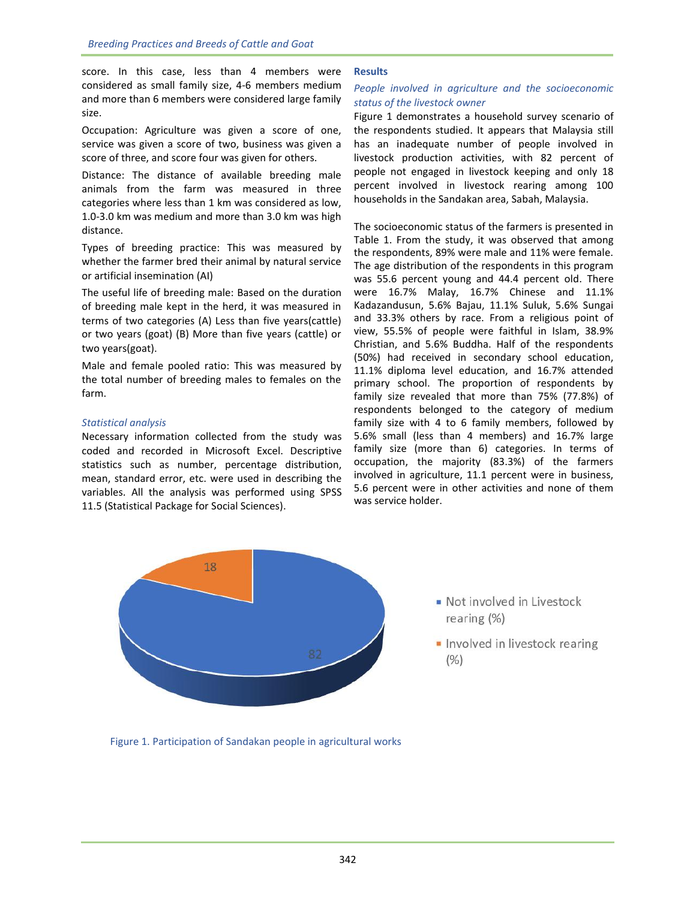score. In this case, less than 4 members were considered as small family size, 4-6 members medium and more than 6 members were considered large family size.

Occupation: Agriculture was given a score of one, service was given a score of two, business was given a score of three, and score four was given for others.

Distance: The distance of available breeding male animals from the farm was measured in three categories where less than 1 km was considered as low, 1.0-3.0 km was medium and more than 3.0 km was high distance.

Types of breeding practice: This was measured by whether the farmer bred their animal by natural service or artificial insemination (AI)

The useful life of breeding male: Based on the duration of breeding male kept in the herd, it was measured in terms of two categories (A) Less than five years(cattle) or two years (goat) (B) More than five years (cattle) or two years(goat).

Male and female pooled ratio: This was measured by the total number of breeding males to females on the farm.

### *Statistical analysis*

Necessary information collected from the study was coded and recorded in Microsoft Excel. Descriptive statistics such as number, percentage distribution, mean, standard error, etc. were used in describing the variables. All the analysis was performed using SPSS 11.5 (Statistical Package for Social Sciences).

### **Results**

### *People involved in agriculture and the socioeconomic status of the livestock owner*

Figure 1 demonstrates a household survey scenario of the respondents studied. It appears that Malaysia still has an inadequate number of people involved in livestock production activities, with 82 percent of people not engaged in livestock keeping and only 18 percent involved in livestock rearing among 100 households in the Sandakan area, Sabah, Malaysia.

The socioeconomic status of the farmers is presented in Table 1. From the study, it was observed that among the respondents, 89% were male and 11% were female. The age distribution of the respondents in this program was 55.6 percent young and 44.4 percent old. There were 16.7% Malay, 16.7% Chinese and 11.1% Kadazandusun, 5.6% Bajau, 11.1% Suluk, 5.6% Sungai and 33.3% others by race. From a religious point of view, 55.5% of people were faithful in Islam, 38.9% Christian, and 5.6% Buddha. Half of the respondents (50%) had received in secondary school education, 11.1% diploma level education, and 16.7% attended primary school. The proportion of respondents by family size revealed that more than 75% (77.8%) of respondents belonged to the category of medium family size with 4 to 6 family members, followed by 5.6% small (less than 4 members) and 16.7% large family size (more than 6) categories. In terms of occupation, the majority (83.3%) of the farmers involved in agriculture, 11.1 percent were in business, 5.6 percent were in other activities and none of them was service holder.



- Not involved in Livestock rearing  $(\%)$
- Involved in livestock rearing  $(% )$

Figure 1. Participation of Sandakan people in agricultural works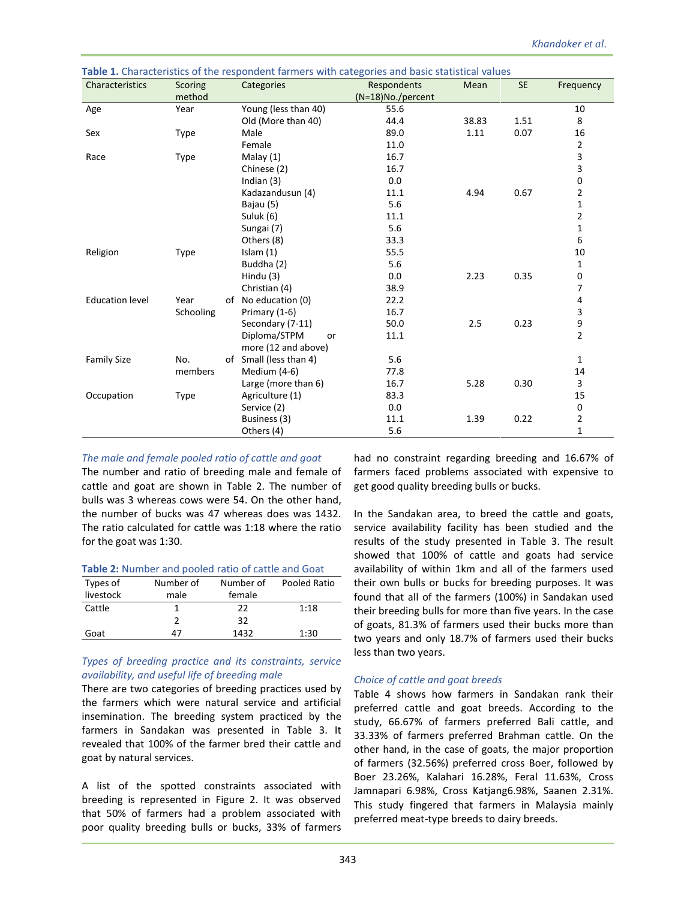| Characteristics        | <b>Scoring</b> | Categories             | Respondents          | Mean  | <b>SE</b> | Frequency      |
|------------------------|----------------|------------------------|----------------------|-------|-----------|----------------|
|                        | method         |                        | $(N=18)$ No./percent |       |           |                |
| Age                    | Year           | Young (less than 40)   | 55.6                 |       |           | 10             |
|                        |                | Old (More than 40)     | 44.4                 | 38.83 | 1.51      | 8              |
| Sex                    | <b>Type</b>    | Male                   | 89.0                 | 1.11  | 0.07      | 16             |
|                        |                | Female                 | 11.0                 |       |           | $\overline{2}$ |
| Race                   | Type           | Malay (1)              | 16.7                 |       |           | 3              |
|                        |                | Chinese (2)            | 16.7                 |       |           | 3              |
|                        |                | Indian $(3)$           | 0.0                  |       |           | $\pmb{0}$      |
|                        |                | Kadazandusun (4)       | 11.1                 | 4.94  | 0.67      | $\overline{2}$ |
|                        |                | Bajau (5)              | 5.6                  |       |           | $\mathbf{1}$   |
|                        |                | Suluk (6)              | 11.1                 |       |           | $\mathbf{2}$   |
|                        |                | Sungai (7)             | 5.6                  |       |           | $\mathbf 1$    |
|                        |                | Others (8)             | 33.3                 |       |           | 6              |
| Religion               | Type           | Islam $(1)$            | 55.5                 |       |           | 10             |
|                        |                | Buddha (2)             | 5.6                  |       |           | 1              |
|                        |                | Hindu (3)              | 0.0                  | 2.23  | 0.35      | 0              |
|                        |                | Christian (4)          | 38.9                 |       |           | 7              |
| <b>Education level</b> | Year           | of No education (0)    | 22.2                 |       |           | 4              |
|                        | Schooling      | Primary (1-6)          | 16.7                 |       |           | 3              |
|                        |                | Secondary (7-11)       | 50.0                 | 2.5   | 0.23      | 9              |
|                        |                | Diploma/STPM<br>or     | 11.1                 |       |           | $\overline{2}$ |
|                        |                | more (12 and above)    |                      |       |           |                |
| <b>Family Size</b>     | No.            | of Small (less than 4) | 5.6                  |       |           | $\mathbf{1}$   |
|                        | members        | Medium (4-6)           | 77.8                 |       |           | 14             |
|                        |                | Large (more than 6)    | 16.7                 | 5.28  | 0.30      | 3              |
| Occupation             | <b>Type</b>    | Agriculture (1)        | 83.3                 |       |           | 15             |
|                        |                | Service (2)            | 0.0                  |       |           | $\pmb{0}$      |
|                        |                | Business (3)           | 11.1                 | 1.39  | 0.22      | 2              |
|                        |                | Others (4)             | 5.6                  |       |           | 1              |

**Table 1.** Characteristics of the respondent farmers with categories and basic statistical values

### *The male and female pooled ratio of cattle and goat*

The number and ratio of breeding male and female of cattle and goat are shown in Table 2. The number of bulls was 3 whereas cows were 54. On the other hand, the number of bucks was 47 whereas does was 1432. The ratio calculated for cattle was 1:18 where the ratio for the goat was 1:30.

#### **Table 2:** Number and pooled ratio of cattle and Goat

| Types of  | Number of | Number of | Pooled Ratio |
|-----------|-----------|-----------|--------------|
| livestock | male      | female    |              |
| Cattle    |           | 22        | 1:18         |
|           |           | 32        |              |
| Goat      | 47        | 1432      | 1:30         |

### *Types of breeding practice and its constraints, service availability, and useful life of breeding male*

There are two categories of breeding practices used by the farmers which were natural service and artificial insemination. The breeding system practiced by the farmers in Sandakan was presented in Table 3. It revealed that 100% of the farmer bred their cattle and goat by natural services.

A list of the spotted constraints associated with breeding is represented in Figure 2. It was observed that 50% of farmers had a problem associated with poor quality breeding bulls or bucks, 33% of farmers

had no constraint regarding breeding and 16.67% of farmers faced problems associated with expensive to get good quality breeding bulls or bucks.

In the Sandakan area, to breed the cattle and goats, service availability facility has been studied and the results of the study presented in Table 3. The result showed that 100% of cattle and goats had service availability of within 1km and all of the farmers used their own bulls or bucks for breeding purposes. It was found that all of the farmers (100%) in Sandakan used their breeding bulls for more than five years. In the case of goats, 81.3% of farmers used their bucks more than two years and only 18.7% of farmers used their bucks less than two years.

### *Choice of cattle and goat breeds*

Table 4 shows how farmers in Sandakan rank their preferred cattle and goat breeds. According to the study, 66.67% of farmers preferred Bali cattle, and 33.33% of farmers preferred Brahman cattle. On the other hand, in the case of goats, the major proportion of farmers (32.56%) preferred cross Boer, followed by Boer 23.26%, Kalahari 16.28%, Feral 11.63%, Cross Jamnapari 6.98%, Cross Katjang6.98%, Saanen 2.31%. This study fingered that farmers in Malaysia mainly preferred meat-type breeds to dairy breeds.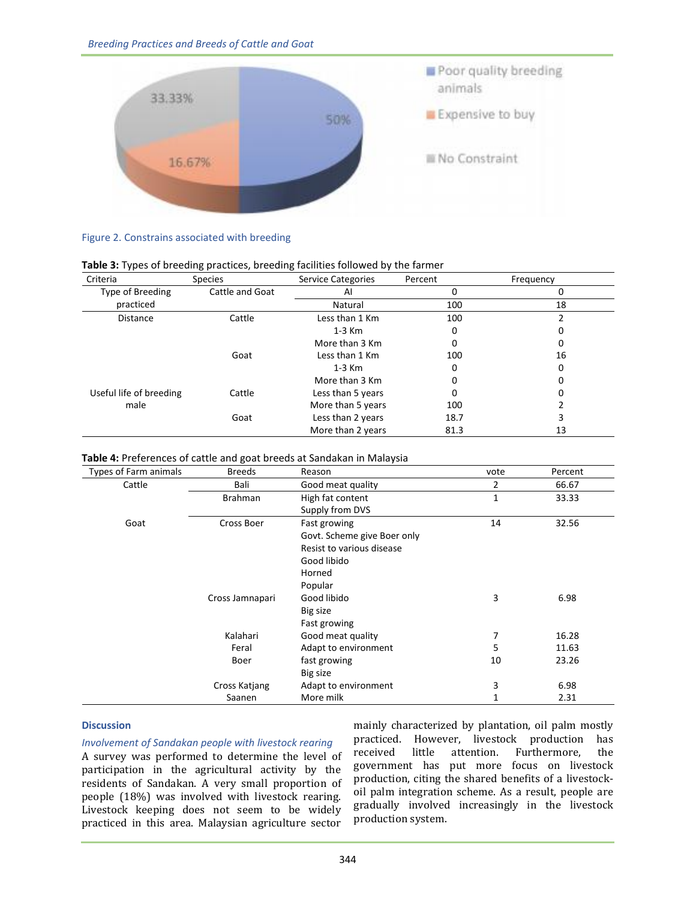

### Figure 2. Constrains associated with breeding

| Table 3: Types of breeding practices, breeding facilities followed by the farmer |  |  |
|----------------------------------------------------------------------------------|--|--|
|----------------------------------------------------------------------------------|--|--|

| Criteria                | <b>Species</b>  | <b>Service Categories</b> | Percent | Frequency |
|-------------------------|-----------------|---------------------------|---------|-----------|
| Type of Breeding        | Cattle and Goat | Al                        | 0       |           |
| practiced               |                 | Natural                   | 100     | 18        |
| <b>Distance</b>         | Cattle          | Less than 1 Km            | 100     |           |
|                         |                 | $1-3$ Km                  | 0       | 0         |
|                         |                 | More than 3 Km            | 0       | 0         |
|                         | Goat            | Less than 1 Km            | 100     | 16        |
|                         |                 | $1-3$ Km                  | 0       | 0         |
|                         |                 | More than 3 Km            | 0       | Ω         |
| Useful life of breeding | Cattle          | Less than 5 years         | 0       |           |
| male                    |                 | More than 5 years         | 100     |           |
|                         | Goat            | Less than 2 years         | 18.7    |           |
|                         |                 | More than 2 years         | 81.3    | 13        |

### **Table 4:** Preferences of cattle and goat breeds at Sandakan in Malaysia

| Types of Farm animals | <b>Breeds</b>   | Reason                      | vote | Percent |
|-----------------------|-----------------|-----------------------------|------|---------|
| Cattle                | Bali            | Good meat quality           | 2    | 66.67   |
|                       | <b>Brahman</b>  | High fat content            | 1    | 33.33   |
|                       |                 | Supply from DVS             |      |         |
| Goat                  | Cross Boer      | Fast growing                | 14   | 32.56   |
|                       |                 | Govt. Scheme give Boer only |      |         |
|                       |                 | Resist to various disease   |      |         |
|                       |                 | Good libido                 |      |         |
|                       |                 | Horned                      |      |         |
|                       |                 | Popular                     |      |         |
|                       | Cross Jamnapari | Good libido                 | 3    | 6.98    |
|                       |                 | Big size                    |      |         |
|                       |                 | Fast growing                |      |         |
|                       | Kalahari        | Good meat quality           | 7    | 16.28   |
|                       | Feral           | Adapt to environment        | 5    | 11.63   |
|                       | Boer            | fast growing                | 10   | 23.26   |
|                       |                 | Big size                    |      |         |
|                       | Cross Katjang   | Adapt to environment        | 3    | 6.98    |
|                       | Saanen          | More milk                   | 1    | 2.31    |

### **Discussion**

*Involvement of Sandakan people with livestock rearing*

A survey was performed to determine the level of participation in the agricultural activity by the residents of Sandakan. A very small proportion of people (18%) was involved with livestock rearing. Livestock keeping does not seem to be widely practiced in this area. Malaysian agriculture sector

mainly characterized by plantation, oil palm mostly practiced. However, livestock production has received little attention. Furthermore, the government has put more focus on livestock production, citing the shared benefits of a livestockoil palm integration scheme. As a result, people are gradually involved increasingly in the livestock production system.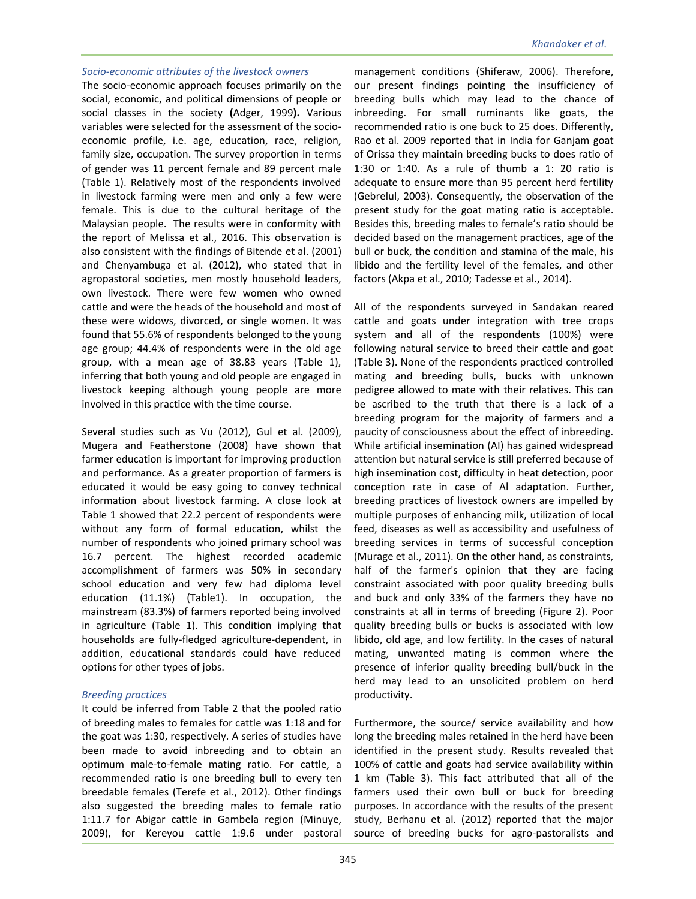#### *Socio-economic attributes of the livestock owners*

The socio-economic approach focuses primarily on the social, economic, and political dimensions of people or social classes in the society **(**Adger, 1999**).** Various variables were selected for the assessment of the socioeconomic profile, i.e. age, education, race, religion, family size, occupation. The survey proportion in terms of gender was 11 percent female and 89 percent male (Table 1). Relatively most of the respondents involved in livestock farming were men and only a few were female. This is due to the cultural heritage of the Malaysian people. The results were in conformity with the report of Melissa et al., 2016. This observation is also consistent with the findings of Bitende et al. (2001) and Chenyambuga et al. (2012), who stated that in agropastoral societies, men mostly household leaders, own livestock. There were few women who owned cattle and were the heads of the household and most of these were widows, divorced, or single women. It was found that 55.6% of respondents belonged to the young age group; 44.4% of respondents were in the old age group, with a mean age of 38.83 years (Table 1), inferring that both young and old people are engaged in livestock keeping although young people are more involved in this practice with the time course.

Several studies such as Vu (2012), Gul et al. (2009), Mugera and Featherstone (2008) have shown that farmer education is important for improving production and performance. As a greater proportion of farmers is educated it would be easy going to convey technical information about livestock farming. A close look at Table 1 showed that 22.2 percent of respondents were without any form of formal education, whilst the number of respondents who joined primary school was 16.7 percent. The highest recorded academic accomplishment of farmers was 50% in secondary school education and very few had diploma level education (11.1%) (Table1). In occupation, the mainstream (83.3%) of farmers reported being involved in agriculture (Table 1). This condition implying that households are fully-fledged agriculture-dependent, in addition, educational standards could have reduced options for other types of jobs.

### *Breeding practices*

It could be inferred from Table 2 that the pooled ratio of breeding males to females for cattle was 1:18 and for the goat was 1:30, respectively. A series of studies have been made to avoid inbreeding and to obtain an optimum male-to-female mating ratio. For cattle, a recommended ratio is one breeding bull to every ten breedable females (Terefe et al., 2012). Other findings also suggested the breeding males to female ratio 1:11.7 for Abigar cattle in Gambela region (Minuye, 2009), for Kereyou cattle 1:9.6 under pastoral

management conditions (Shiferaw, 2006). Therefore, our present findings pointing the insufficiency of breeding bulls which may lead to the chance of inbreeding. For small ruminants like goats, the recommended ratio is one buck to 25 does. Differently, Rao et al. 2009 reported that in India for Ganjam goat of Orissa they maintain breeding bucks to does ratio of 1:30 or 1:40. As a rule of thumb a 1: 20 ratio is adequate to ensure more than 95 percent herd fertility (Gebrelul, 2003). Consequently, the observation of the present study for the goat mating ratio is acceptable. Besides this, breeding males to female's ratio should be decided based on the management practices, age of the bull or buck, the condition and stamina of the male, his libido and the fertility level of the females, and other factors (Akpa et al., 2010; Tadesse et al., 2014).

All of the respondents surveyed in Sandakan reared cattle and goats under integration with tree crops system and all of the respondents (100%) were following natural service to breed their cattle and goat (Table 3). None of the respondents practiced controlled mating and breeding bulls, bucks with unknown pedigree allowed to mate with their relatives. This can be ascribed to the truth that there is a lack of a breeding program for the majority of farmers and a paucity of consciousness about the effect of inbreeding. While artificial insemination (AI) has gained widespread attention but natural service is still preferred because of high insemination cost, difficulty in heat detection, poor conception rate in case of Al adaptation. Further, breeding practices of livestock owners are impelled by multiple purposes of enhancing milk, utilization of local feed, diseases as well as accessibility and usefulness of breeding services in terms of successful conception (Murage et al., 2011). On the other hand, as constraints, half of the farmer's opinion that they are facing constraint associated with poor quality breeding bulls and buck and only 33% of the farmers they have no constraints at all in terms of breeding (Figure 2). Poor quality breeding bulls or bucks is associated with low libido, old age, and low fertility. In the cases of natural mating, unwanted mating is common where the presence of inferior quality breeding bull/buck in the herd may lead to an unsolicited problem on herd productivity.

Furthermore, the source/ service availability and how long the breeding males retained in the herd have been identified in the present study. Results revealed that 100% of cattle and goats had service availability within 1 km (Table 3). This fact attributed that all of the farmers used their own bull or buck for breeding purposes. In accordance with the results of the present study, Berhanu et al. (2012) reported that the major source of breeding bucks for agro-pastoralists and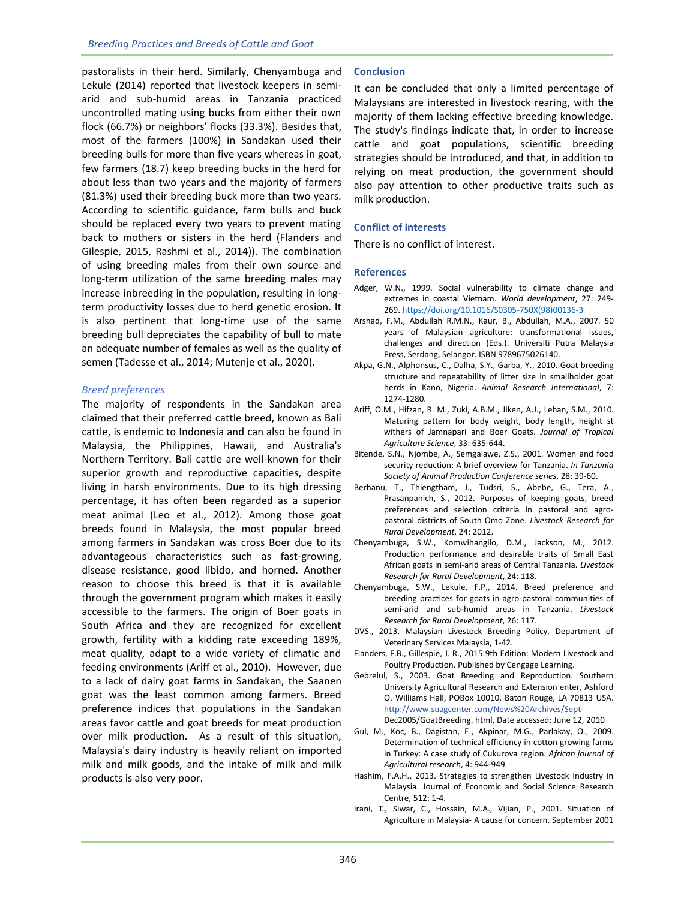pastoralists in their herd. Similarly, Chenyambuga and Lekule (2014) reported that livestock keepers in semiarid and sub-humid areas in Tanzania practiced uncontrolled mating using bucks from either their own flock (66.7%) or neighbors' flocks (33.3%). Besides that, most of the farmers (100%) in Sandakan used their breeding bulls for more than five years whereas in goat, few farmers (18.7) keep breeding bucks in the herd for about less than two years and the majority of farmers (81.3%) used their breeding buck more than two years. According to scientific guidance, farm bulls and buck should be replaced every two years to prevent mating back to mothers or sisters in the herd (Flanders and Gilespie, 2015, Rashmi et al., 2014)). The combination of using breeding males from their own source and long-term utilization of the same breeding males may increase inbreeding in the population, resulting in longterm productivity losses due to herd genetic erosion. It is also pertinent that long-time use of the same breeding bull depreciates the capability of bull to mate an adequate number of females as well as the quality of semen (Tadesse et al., 2014; Mutenje et al., 2020).

### *Breed preferences*

The majority of respondents in the Sandakan area claimed that their preferred cattle breed, known as Bali cattle, is endemic to Indonesia and can also be found in Malaysia, the Philippines, Hawaii, and Australia's Northern Territory. Bali cattle are well-known for their superior growth and reproductive capacities, despite living in harsh environments. Due to its high dressing percentage, it has often been regarded as a superior meat animal (Leo et al., 2012). Among those goat breeds found in Malaysia, the most popular breed among farmers in Sandakan was cross Boer due to its advantageous characteristics such as fast-growing, disease resistance, good libido, and horned. Another reason to choose this breed is that it is available through the government program which makes it easily accessible to the farmers. The origin of Boer goats in South Africa and they are recognized for excellent growth, fertility with a kidding rate exceeding 189%, meat quality, adapt to a wide variety of climatic and feeding environments (Ariff et al., 2010). However, due to a lack of dairy goat farms in Sandakan, the Saanen goat was the least common among farmers. Breed preference indices that populations in the Sandakan areas favor cattle and goat breeds for meat production over milk production. As a result of this situation, Malaysia's dairy industry is heavily reliant on imported milk and milk goods, and the intake of milk and milk products is also very poor.

### **Conclusion**

It can be concluded that only a limited percentage of Malaysians are interested in livestock rearing, with the majority of them lacking effective breeding knowledge. The study's findings indicate that, in order to increase cattle and goat populations, scientific breeding strategies should be introduced, and that, in addition to relying on meat production, the government should also pay attention to other productive traits such as milk production.

### **Conflict of interests**

There is no conflict of interest.

#### **References**

- Adger, W.N., 1999. Social vulnerability to climate change and extremes in coastal Vietnam. *World development*, 27: 249- 269[. https://doi.org/10.1016/S0305-750X\(98\)00136-3](https://doi.org/10.1016/S0305-750X(98)00136-3)
- Arshad, F.M., Abdullah R.M.N., Kaur, B., Abdullah, M.A., 2007. 50 years of Malaysian agriculture: transformational issues, challenges and direction (Eds.). Universiti Putra Malaysia Press, Serdang, Selangor. ISBN 9789675026140.
- Akpa, G.N., Alphonsus, C., Dalha, S.Y., Garba, Y., 2010. Goat breeding structure and repeatability of litter size in smallholder goat herds in Kano, Nigeria. *Animal Research International*, 7: 1274-1280.
- Ariff, O.M., Hifzan, R. M., Zuki, A.B.M., Jiken, A.J., Lehan, S.M., 2010. Maturing pattern for body weight, body length, height st withers of Jamnapari and Boer Goats. *Journal of Tropical Agriculture Science*, 33: 635-644.
- Bitende, S.N., Njombe, A., Semgalawe, Z.S., 2001. Women and food security reduction: A brief overview for Tanzania. *In Tanzania Society of Animal Production Conference series*, 28: 39-60.
- Berhanu, T., Thiengtham, J., Tudsri, S., Abebe, G., Tera, A., Prasanpanich, S., 2012. Purposes of keeping goats, breed preferences and selection criteria in pastoral and agropastoral districts of South Omo Zone. *Livestock Research for Rural Development*, 24: 2012.
- Chenyambuga, S.W., Komwihangilo, D.M., Jackson, M., 2012. Production performance and desirable traits of Small East African goats in semi-arid areas of Central Tanzania. *Livestock Research for Rural Development*, 24: 118.
- Chenyambuga, S.W., Lekule, F.P., 2014. Breed preference and breeding practices for goats in agro-pastoral communities of semi-arid and sub-humid areas in Tanzania. *Livestock Research for Rural Development*, 26: 117.
- DVS., 2013. Malaysian Livestock Breeding Policy. Department of Veterinary Services Malaysia, 1-42.
- Flanders, F.B., Gillespie, J. R., 2015.9th Edition: Modern Livestock and Poultry Production. Published by Cengage Learning.
- Gebrelul, S., 2003. Goat Breeding and Reproduction. Southern University Agricultural Research and Extension enter, Ashford O. Williams Hall, POBox 10010, Baton Rouge, LA 70813 USA. <http://www.suagcenter.com/News%20Archives/Sept->Dec2005/GoatBreeding. html, Date accessed: June 12, 2010
- Gul, M., Koc, B., Dagistan, E., Akpinar, M.G., Parlakay, O., 2009. Determination of technical efficiency in cotton growing farms in Turkey: A case study of Cukurova region. *African journal of Agricultural research*, 4: 944-949.
- Hashim, F.A.H., 2013. Strategies to strengthen Livestock Industry in Malaysia. Journal of Economic and Social Science Research Centre, 512: 1-4.
- Irani, T., Siwar, C., Hossain, M.A., Vijian, P., 2001. Situation of Agriculture in Malaysia- A cause for concern. September 2001